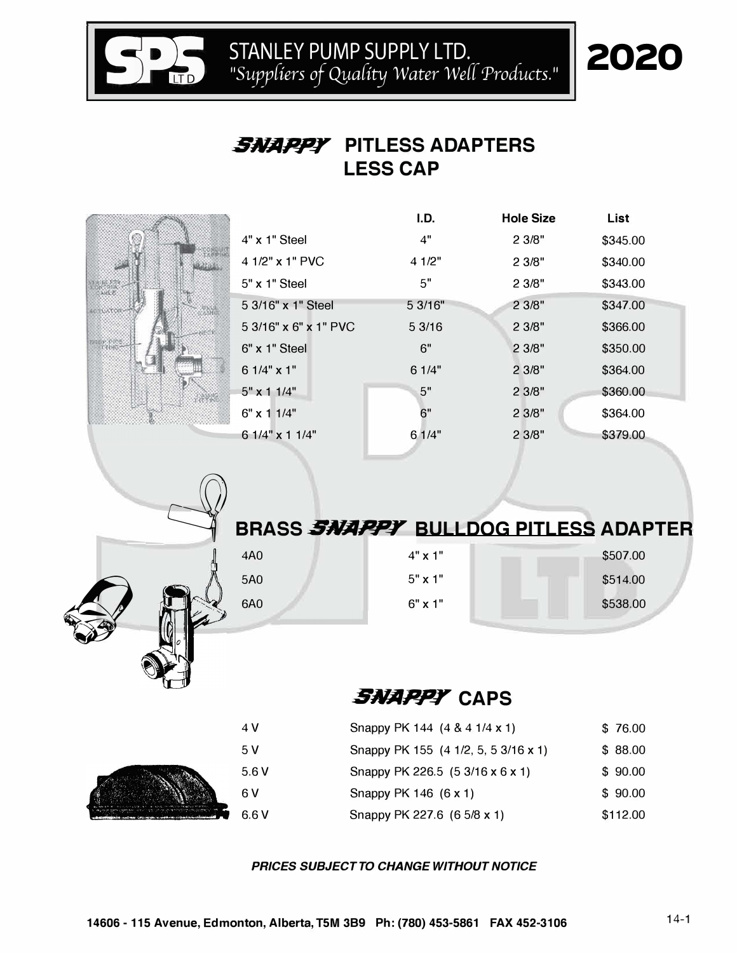STANLEY PUMP SUPPLY LTD.<br>
<sup>"Suppliers of Quality Water Well Products."</sup>

# 2020

#### **SNAPP¥ PITLESS ADAPTERS LESS CAP**

|                     |                       | I.D.    | <b>Hole Size</b> | List     |  |
|---------------------|-----------------------|---------|------------------|----------|--|
|                     | $4"$ x 1" Steel       | 4"      | 2 3/8"           | \$345.00 |  |
|                     | 4 1/2" x 1" PVC       | 4 1/2"  | 2 3/8"           | \$340.00 |  |
| N TOUL              | 5" x 1" Steel         | 5"      | 2 3/8"           | \$343.00 |  |
| <b>EXTOR-</b>       | 5 3/16" x 1" Steel    | 5 3/16" | 2 3/8"           | \$347.00 |  |
|                     | 5 3/16" x 6" x 1" PVC | 53/16   | 2 3/8"           | \$366.00 |  |
| or pins.<br>Tribit— | 6" x 1" Steel         | 6"      | 2 3/8"           | \$350.00 |  |
|                     | $61/4"$ x 1"          | 6 1/4"  | 2 3/8"           | \$364.00 |  |
| <b>PARTIE</b>       | $5" \times 11/4"$     | 5"      | 2 3/8"           | \$360.00 |  |
|                     | 6" x 1 1/4"           | 6"      | 2 3/8"           | \$364.00 |  |
|                     | 6 1/4" x 1 1/4"       | 61/4"   | 2 3/8"           | \$379.00 |  |
|                     |                       |         |                  |          |  |



**S**

|     |                | BRASS <i>SNAPPY</i> BULLDOG PITLESS ADAPTER |
|-----|----------------|---------------------------------------------|
| 4A0 | $4" \times 1"$ | \$507.00                                    |
| 5A0 | $5" \times 1"$ | \$514.00                                    |
| 6A0 | $6" \times 1"$ | \$538.00                                    |

# **SNAPPY CAPS**

| 4 V  | Snappy PK 144 (4 & 4 1/4 x 1)        | \$76.00  |
|------|--------------------------------------|----------|
| .5 V | Snappy PK 155 (4 1/2, 5, 5 3/16 x 1) | \$88.00  |
| 5.6V | Snappy PK 226.5 (5 3/16 x 6 x 1)     | \$90.00  |
| 6 V  | Snappy PK 146 (6 x 1)                | \$90.00  |
| 6.6V | Snappy PK 227.6 (6 5/8 x 1)          | \$112.00 |

#### *PRICES SUBJECT TO CHANGE WITHOUT NOTICE*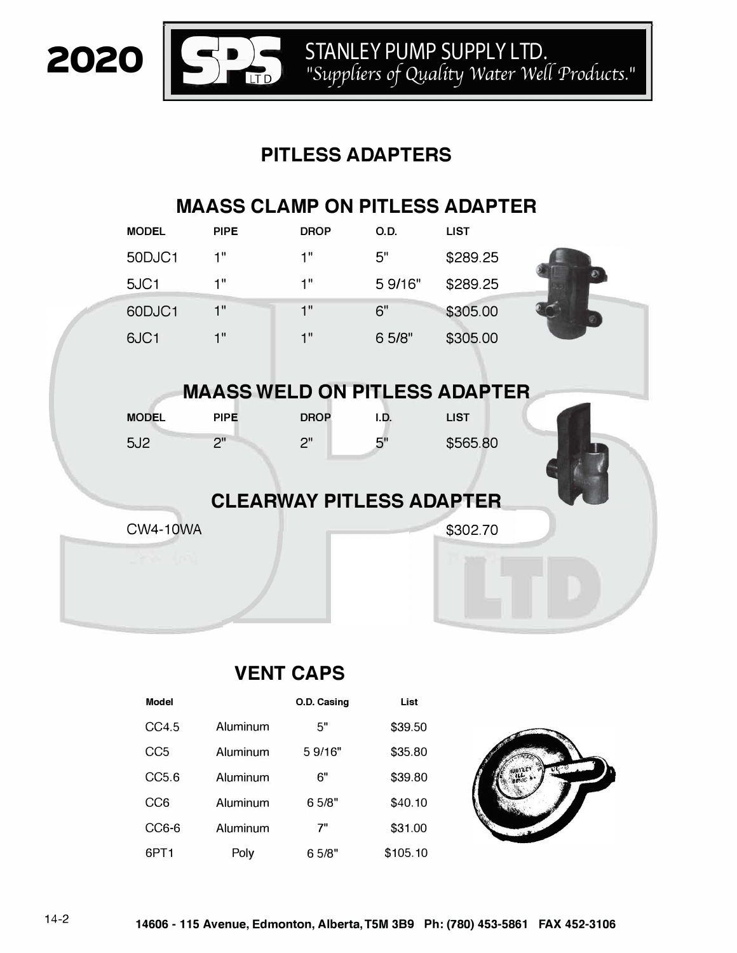STANLEY PUMP SUPPLY LTD.<br>"Suppliers of Quality Water Well Products."

# **PITLESS ADAPTERS**

# **MAASS CLAMP ON PITLESS ADAPTER**

|                                 | <b>MODEL</b>    | <b>PIPE</b>                          | <b>DROP</b> | <b>O.D.</b> | <b>LIST</b> |  |  |
|---------------------------------|-----------------|--------------------------------------|-------------|-------------|-------------|--|--|
|                                 | 50DJC1          | 1"                                   | 1"          | 5"          | \$289.25    |  |  |
|                                 | 5JC1            | 1"                                   | 1"          | 5 9/16"     | \$289.25    |  |  |
|                                 | 60DJC1          | 1"                                   | 1"          | 6"          | \$305.00    |  |  |
|                                 | 6JC1            | 1"                                   | 1"          | 6 5/8"      | \$305.00    |  |  |
|                                 |                 |                                      |             |             |             |  |  |
|                                 |                 | <b>MAASS WELD ON PITLESS ADAPTER</b> |             |             |             |  |  |
|                                 | <b>MODEL</b>    | <b>PIPE</b>                          | <b>DROP</b> | I.D.        | <b>LIST</b> |  |  |
|                                 | 5J2             | 2"                                   | 2"          | 5"          | \$565.80    |  |  |
| <b>CLEARWAY PITLESS ADAPTER</b> |                 |                                      |             |             |             |  |  |
|                                 | <b>CW4-10WA</b> |                                      |             |             | \$302.70    |  |  |
|                                 |                 |                                      |             |             |             |  |  |
|                                 |                 |                                      |             |             |             |  |  |

#### **VENT CAPS**

| <b>Model</b>     |          | O.D. Casing | List     |  |
|------------------|----------|-------------|----------|--|
| CC4.5            | Aluminum | 5"          | \$39.50  |  |
| CC <sub>5</sub>  | Aluminum | 5 9/16"     | \$35.80  |  |
| CC5.6            | Aluminum | 6"          | \$39.80  |  |
| CC <sub>6</sub>  | Aluminum | 6 5/8"      | \$40.10  |  |
| CC6-6            | Aluminum | 7"          | \$31.00  |  |
| 6PT <sub>1</sub> | Poly     | 6 5/8"      | \$105.10 |  |

2020